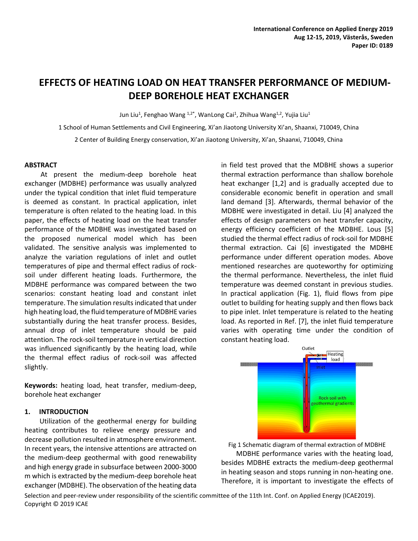# **EFFECTS OF HEATING LOAD ON HEAT TRANSFER PERFORMANCE OF MEDIUM-DEEP BOREHOLE HEAT EXCHANGER**

Jun Liu<sup>1</sup>, Fenghao Wang <sup>1,2\*</sup>, WanLong Cai<sup>1</sup>, Zhihua Wang<sup>1,2</sup>, Yujia Liu<sup>1</sup>

1 School of Human Settlements and Civil Engineering, Xi'an Jiaotong University Xi'an, Shaanxi, 710049, China

2 Center of Building Energy conservation, Xi'an Jiaotong University, Xi'an, Shaanxi, 710049, China

#### **ABSTRACT**

At present the medium-deep borehole heat exchanger (MDBHE) performance was usually analyzed under the typical condition that inlet fluid temperature is deemed as constant. In practical application, inlet temperature is often related to the heating load. In this paper, the effects of heating load on the heat transfer performance of the MDBHE was investigated based on the proposed numerical model which has been validated. The sensitive analysis was implemented to analyze the variation regulations of inlet and outlet temperatures of pipe and thermal effect radius of rocksoil under different heating loads. Furthermore, the MDBHE performance was compared between the two scenarios: constant heating load and constant inlet temperature. The simulation results indicated that under high heating load, the fluid temperature of MDBHE varies substantially during the heat transfer process. Besides, annual drop of inlet temperature should be paid attention. The rock-soil temperature in vertical direction was influenced significantly by the heating load, while the thermal effect radius of rock-soil was affected slightly.

**Keywords:** heating load, heat transfer, medium-deep, borehole heat exchanger

# **1. INTRODUCTION**

Utilization of the geothermal energy for building heating contributes to relieve energy pressure and decrease pollution resulted in atmosphere environment. In recent years, the intensive attentions are attracted on the medium-deep geothermal with good renewability and high energy grade in subsurface between 2000-3000 m which is extracted by the medium-deep borehole heat exchanger (MDBHE). The observation of the heating data in field test proved that the MDBHE shows a superior thermal extraction performance than shallow borehole heat exchanger [1,2] and is gradually accepted due to considerable economic benefit in operation and small land demand [3]. Afterwards, thermal behavior of the MDBHE were investigated in detail. Liu [4] analyzed the effects of design parameters on heat transfer capacity, energy efficiency coefficient of the MDBHE. Lous [5] studied the thermal effect radius of rock-soil for MDBHE thermal extraction. Cai [6] investigated the MDBHE performance under different operation modes. Above mentioned researches are quoteworthy for optimizing the thermal performance. Nevertheless, the inlet fluid temperature was deemed constant in previous studies. In practical application (Fig. 1), fluid flows from pipe outlet to building for heating supply and then flows back to pipe inlet. Inlet temperature is related to the heating load. As reported in Ref. [7], the inlet fluid temperature varies with operating time under the condition of constant heating load.



Fig 1 Schematic diagram of thermal extraction of MDBHE MDBHE performance varies with the heating load, besides MDBHE extracts the medium-deep geothermal in heating season and stops running in non-heating one. Therefore, it is important to investigate the effects of

Selection and peer-review under responsibility of the scientific committee of the 11th Int. Conf. on Applied Energy (ICAE2019). Copyright © 2019 ICAE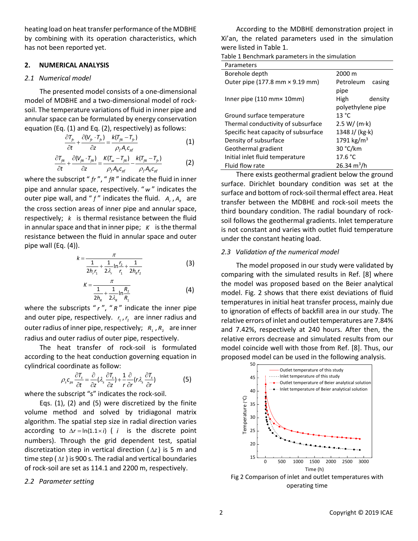heating load on heat transfer performance of the MDBHE by combining with its operation characteristics, which has not been reported yet.

## **2. NUMERICAL ANALYSIS**

#### *2.1 Numerical model*

The presented model consists of a one-dimensional model of MDBHE and a two-dimensional model of rocksoil. The temperature variations of fluid in inner pipe and annular space can be formulated by energy conservation equation (Eq. (1) and Eq. (2), respectively) as follows:

$$
\frac{\partial T_{fr}}{\partial t} + \frac{\partial (V_{fr} \cdot T_{fr})}{\partial z} = \frac{k(T_{fr} - T_{fr})}{\rho_f A_r c_{\rho f}}
$$
(1)

$$
\frac{\partial \tau_{\scriptscriptstyle{fR}}}{\partial t} + \frac{\partial (V_{\scriptscriptstyle{fR}} \cdot T_{\scriptscriptstyle{fR}})}{\partial z} = \frac{K(T_{\scriptscriptstyle{w}} - T_{\scriptscriptstyle{fR}})}{\rho_{\scriptscriptstyle{f}} A_{\scriptscriptstyle{R}} c_{\scriptscriptstyle{pf}}} - \frac{k(T_{\scriptscriptstyle{fR}} - T_{\scriptscriptstyle{fR}})}{\rho_{\scriptscriptstyle{f}} A_{\scriptscriptstyle{R}} c_{\scriptscriptstyle{pf}}}
$$
(2)

where the subscript " fr ", " fR " indicate the fluid in inner pipe and annular space, respectively. " *w* " indicates the outer pipe wall, and " f " indicates the fluid. A<sub>r</sub>, A<sub>R</sub> are the cross section areas of inner pipe and annular space, respectively; *k* is thermal resistance between the fluid in annular space and that in inner pipe; *K* is the thermal resistance between the fluid in annular space and outer pipe wall (Eq. (4)).

$$
k = \frac{\pi}{\frac{1}{2h_{r}r_{1}} + \frac{1}{2\lambda_{r}}\ln\frac{r_{2}}{r_{1}} + \frac{1}{2h_{R}r_{2}}}
$$
(3)

$$
K = \frac{\pi}{\frac{1}{2h_{R}} + \frac{1}{2\lambda_{R}} \ln \frac{R_{2}}{R_{1}}}
$$
 (4)

where the subscripts "r", "R" indicate the inner pipe and outer pipe, respectively.  $r_1, r_2$  are inner radius and outer radius of inner pipe, respectively; R<sub>1</sub>, R<sub>2</sub> are inner radius and outer radius of outer pipe, respectively.

The heat transfer of rock-soil is formulated according to the heat conduction governing equation in cylindrical coordinate as follow:<br> $\partial \tau_s = \partial_{(1)} \partial T_{s+1} \partial_{(r)} \partial T_{s+1}$ 

$$
\rho_s c_{\rho s} \frac{\partial T_s}{\partial t} = \frac{\partial}{\partial z} (\lambda_s \frac{\partial T_s}{\partial z}) + \frac{1}{r} \frac{\partial}{\partial r} (r \lambda_s \frac{\partial T_s}{\partial r})
$$
(5)

where the subscript "s" indicates the rock-soil.

Eqs. (1), (2) and (5) were discretized by the finite volume method and solved by tridiagonal matrix algorithm. The spatial step size in radial direction varies according to  $\Delta r = \ln(1.1 \times i)$  (*i* is the discrete point numbers). Through the grid dependent test, spatial discretization step in vertical direction  $(\Delta z)$  is 5 m and time step ( $\Delta t$ ) is 900 s. The radial and vertical boundaries of rock-soil are set as 114.1 and 2200 m, respectively.

#### *2.2 Parameter setting*

According to the MDBHE demonstration project in Xi'an, the related parameters used in the simulation were listed in Table 1.

| Parameters                           |                        |  |
|--------------------------------------|------------------------|--|
| Borehole depth                       | 2000 m                 |  |
| Outer pipe (177.8 mm × 9.19 mm)      | Petroleum<br>casing    |  |
|                                      | pipe                   |  |
| Inner pipe (110 mm× 10mm)            | High<br>density        |  |
|                                      | polyethylene pipe      |  |
| Ground surface temperature           | 13 °C                  |  |
| Thermal conductivity of subsurface   | 2.5 W/(m·k)            |  |
| Specific heat capacity of subsurface | 1348 J/ (kg·k)         |  |
| Density of subsurface                | 1791 kg/m <sup>3</sup> |  |
| Geothermal gradient                  | 30 °C/km               |  |
| Initial inlet fluid temperature      | 17.6 °C                |  |
| Fluid flow rate                      | $26.34 \text{ m}^3/h$  |  |

There exists geothermal gradient below the ground surface. Dirichlet boundary condition was set at the surface and bottom of rock-soil thermal effect area. Heat transfer between the MDBHE and rock-soil meets the third boundary condition. The radial boundary of rocksoil follows the geothermal gradients. Inlet temperature is not constant and varies with outlet fluid temperature under the constant heating load.

### *2.3 Validation of the numerical model*

The model proposed in our study were validated by comparing with the simulated results in Ref. [8] where the model was proposed based on the Beier analytical model. Fig. 2 shows that there exist deviations of fluid temperatures in initial heat transfer process, mainly due to ignoration of effects of backfill area in our study. The relative errors of inlet and outlet temperatures are 7.84% and 7.42%, respectively at 240 hours. After then, the relative errors decrease and simulated results from our model coincide well with those from Ref. [8]. Thus, our proposed model can be used in the following analysis.



operating time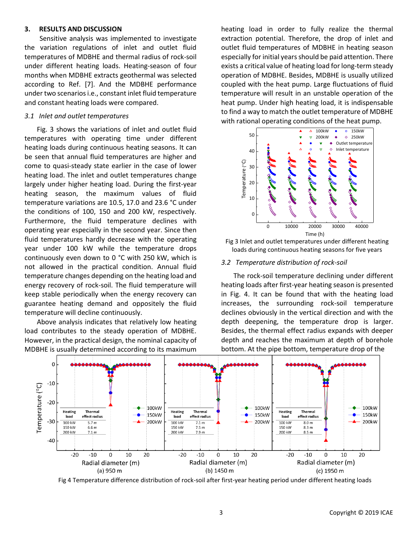#### **3. RESULTS AND DISCUSSION**

Sensitive analysis was implemented to investigate the variation regulations of inlet and outlet fluid temperatures of MDBHE and thermal radius of rock-soil under different heating loads. Heating-season of four months when MDBHE extracts geothermal was selected according to Ref. [7]. And the MDBHE performance under two scenarios i.e., constant inlet fluid temperature and constant heating loads were compared.

## *3.1 Inlet and outlet temperatures*

Fig. 3 shows the variations of inlet and outlet fluid temperatures with operating time under different heating loads during continuous heating seasons. It can be seen that annual fluid temperatures are higher and come to quasi-steady state earlier in the case of lower heating load. The inlet and outlet temperatures change largely under higher heating load. During the first-year heating season, the maximum values of fluid temperature variations are 10.5, 17.0 and 23.6 °C under the conditions of 100, 150 and 200 kW, respectively. Furthermore, the fluid temperature declines with operating year especially in the second year. Since then fluid temperatures hardly decrease with the operating year under 100 kW while the temperature drops continuously even down to 0 °C with 250 kW, which is not allowed in the practical condition. Annual fluid temperature changes depending on the heating load and energy recovery of rock-soil. The fluid temperature will keep stable periodically when the energy recovery can guarantee heating demand and oppositely the fluid temperature will decline continuously.

Above analysis indicates that relatively low heating load contributes to the steady operation of MDBHE. However, in the practical design, the nominal capacity of MDBHE is usually determined according to its maximum

heating load in order to fully realize the thermal extraction potential. Therefore, the drop of inlet and outlet fluid temperatures of MDBHE in heating season especially for initial years should be paid attention. There exists a critical value of heating load for long-term steady operation of MDBHE. Besides, MDBHE is usually utilized coupled with the heat pump. Large fluctuations of fluid temperature will result in an unstable operation of the heat pump. Under high heating load, it is indispensable to find a way to match the outlet temperature of MDBHE with rational operating conditions of the heat pump.





#### *3.2 Temperature distribution of rock-soil*

The rock-soil temperature declining under different heating loads after first-year heating season is presented in Fig. 4. It can be found that with the heating load increases, the surrounding rock-soil temperature declines obviously in the vertical direction and with the depth deepening, the temperature drop is larger. Besides, the thermal effect radius expands with deeper depth and reaches the maximum at depth of borehole bottom. At the pipe bottom, temperature drop of the



Fig 4 Temperature difference distribution of rock-soil after first-year heating period under different heating loads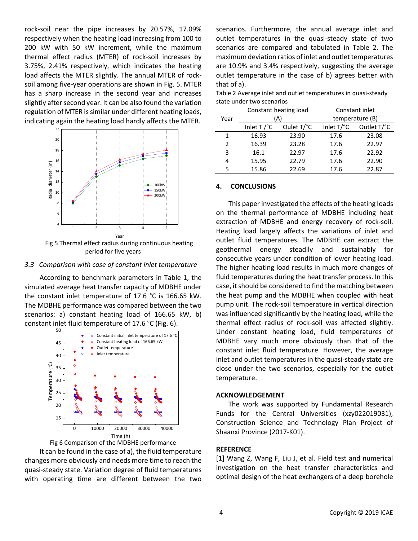rock-soil near the pipe increases by 20.57%, 17.09% respectively when the heating load increasing from 100 to 200 kW with 50 kW increment, while the maximum thermal effect radius (MTER) of rock-soil increases by 3.75%, 2.41% respectively, which indicates the heating load affects the MTER slightly. The annual MTER of rocksoil among five-year operations are shown in Fig. 5. MTER has a sharp increase in the second year and increases slightly after second year. It can be also found the variation regulation of MTER is similar under different heating loads, indicating again the heating load hardly affects the MTER.



period for five years

#### *3.3 Comparison with case of constant inlet temperature*

According to benchmark parameters in Table 1, the simulated average heat transfer capacity of MDBHE under the constant inlet temperature of 17.6 °C is 166.65 kW. The MDBHE performance was compared between the two scenarios: a) constant heating load of 166.65 kW, b) constant inlet fluid temperature of 17.6 °C (Fig. 6).





It can be found in the case of a), the fluid temperature changes more obviously and needs more time to reach the quasi-steady state. Variation degree of fluid temperatures with operating time are different between the two scenarios. Furthermore, the annual average inlet and outlet temperatures in the quasi-steady state of two scenarios are compared and tabulated in Table 2. The maximum deviation ratios of inlet and outlet temperatures are 10.9% and 3.4% respectively, suggesting the average outlet temperature in the case of b) agrees better with that of a).

| Table 2 Average inlet and outlet temperatures in quasi-steady |
|---------------------------------------------------------------|
| state under two scenarios                                     |

| Year           | Constant heating load<br>A) |            | Constant inlet<br>temperature (B) |             |
|----------------|-----------------------------|------------|-----------------------------------|-------------|
|                | Inlet $T$ / $^{\circ}$ C    | Oulet T/°C | Inlet T/°C                        | Outlet T/°C |
| 1              | 16.93                       | 23.90      | 17.6                              | 23.08       |
| $\mathfrak{p}$ | 16.39                       | 23.28      | 17.6                              | 22.97       |
| 3              | 16.1                        | 22.97      | 17.6                              | 22.92       |
| 4              | 15.95                       | 22.79      | 17.6                              | 22.90       |
| 5              | 15.86                       | 22.69      | 17.6                              | 22.87       |

# **4. CONCLUSIONS**

This paper investigated the effects of the heating loads on the thermal performance of MDBHE including heat extraction of MDBHE and energy recovery of rock-soil. Heating load largely affects the variations of inlet and outlet fluid temperatures. The MDBHE can extract the geothermal energy steadily and sustainably for consecutive years under condition of lower heating load. The higher heating load results in much more changes of fluid temperatures during the heat transfer process. In this case, it should be considered to find the matching between the heat pump and the MDBHE when coupled with heat pump unit. The rock-soil temperature in vertical direction was influenced significantly by the heating load, while the thermal effect radius of rock-soil was affected slightly. Under constant heating load, fluid temperatures of MDBHE vary much more obviously than that of the constant inlet fluid temperature. However, the average inlet and outlet temperatures in the quasi-steady state are close under the two scenarios, especially for the outlet temperature.

# **ACKNOWLEDGEMENT**

The work was supported by Fundamental Research Funds for the Central Universities (xzy022019031), Construction Science and Technology Plan Project of Shaanxi Province (2017-K01).

# **REFERENCE**

[1] Wang Z, Wang F, Liu J, et al. Field test and numerical investigation on the heat transfer characteristics and optimal design of the heat exchangers of a deep borehole